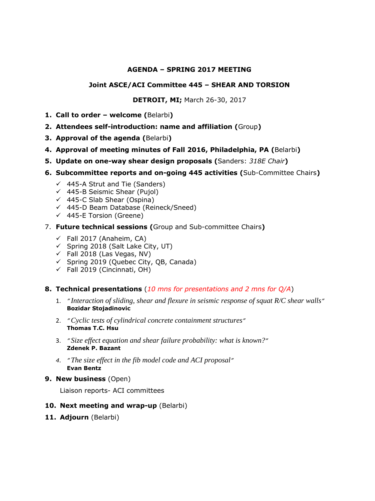#### **AGENDA – SPRING 2017 MEETING**

#### **Joint ASCE/ACI Committee 445 – SHEAR AND TORSION**

**DETROIT, MI;** March 26-30, 2017

- **1. Call to order – welcome (**Belarbi**)**
- **2. Attendees self-introduction: name and affiliation (**Group**)**
- **3. Approval of the agenda (**Belarbi**)**
- **4. Approval of meeting minutes of Fall 2016, Philadelphia, PA (**Belarbi**)**
- **5. Update on one-way shear design proposals (**Sanders: *318E Chair***)**
- **6. Subcommittee reports and on-going 445 activities (**Sub-Committee Chairs**)**
	- $\checkmark$  445-A Strut and Tie (Sanders)
	- $\checkmark$  445-B Seismic Shear (Pujol)
	- $(445-C$  Slab Shear (Ospina)
	- $(445-D)$  Beam Database (Reineck/Sneed)
	- $\checkmark$  445-E Torsion (Greene)
- 7. **Future technical sessions (**Group and Sub-committee Chairs**)** 
	- $\checkmark$  Fall 2017 (Anaheim, CA)
	- $\checkmark$  Spring 2018 (Salt Lake City, UT)
	- $\checkmark$  Fall 2018 (Las Vegas, NV)
	- $\checkmark$  Spring 2019 (Quebec City, QB, Canada)
	- $\checkmark$  Fall 2019 (Cincinnati, OH)

#### **8. Technical presentations** (*10 mns for presentations and 2 mns for Q/A*)

- 1. *" Interaction of sliding, shear and flexure in seismic response of squat R/C shear walls"*  **Bozidar Stojadinovic**
- 2. *" Cyclic tests of cylindrical concrete containment structures"*  **Thomas T.C. Hsu**
- 3. *" Size effect equation and shear failure probability: what is known?"*  **Zdenek P. Bazant**
- *4. " The size effect in the fib model code and ACI proposal"*  **Evan Bentz**
- **9. New business** (Open)

Liaison reports- ACI committees

### **10. Next meeting and wrap-up** (Belarbi)

**11. Adjourn** (Belarbi)